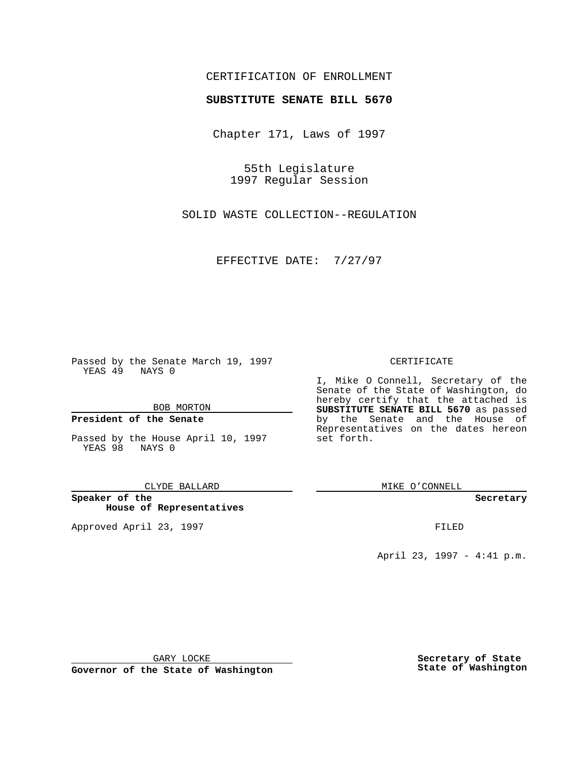## CERTIFICATION OF ENROLLMENT

# **SUBSTITUTE SENATE BILL 5670**

Chapter 171, Laws of 1997

55th Legislature 1997 Regular Session

SOLID WASTE COLLECTION--REGULATION

EFFECTIVE DATE: 7/27/97

Passed by the Senate March 19, 1997 YEAS 49 NAYS 0

BOB MORTON

### **President of the Senate**

Passed by the House April 10, 1997 YEAS 98 NAYS 0

CLYDE BALLARD

**Speaker of the House of Representatives**

Approved April 23, 1997 **FILED** 

#### CERTIFICATE

I, Mike O Connell, Secretary of the Senate of the State of Washington, do hereby certify that the attached is **SUBSTITUTE SENATE BILL 5670** as passed by the Senate and the House of Representatives on the dates hereon set forth.

MIKE O'CONNELL

#### **Secretary**

April 23, 1997 - 4:41 p.m.

GARY LOCKE

**Governor of the State of Washington**

**Secretary of State State of Washington**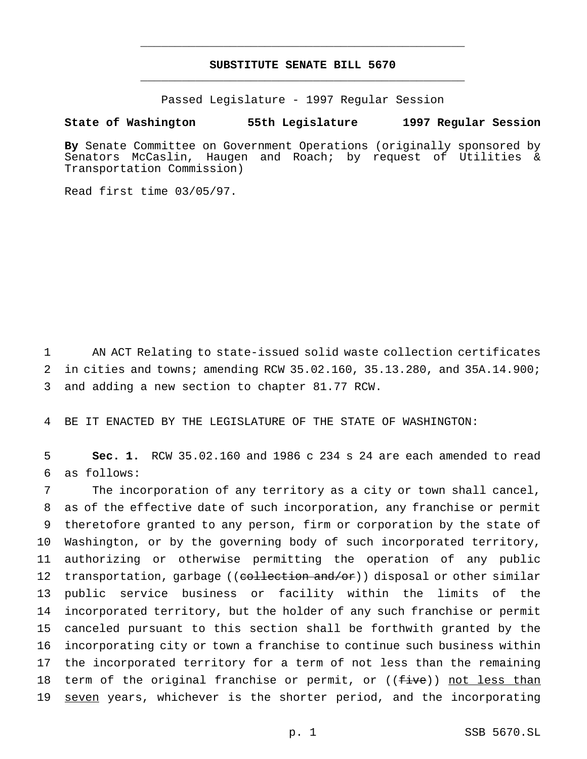## **SUBSTITUTE SENATE BILL 5670** \_\_\_\_\_\_\_\_\_\_\_\_\_\_\_\_\_\_\_\_\_\_\_\_\_\_\_\_\_\_\_\_\_\_\_\_\_\_\_\_\_\_\_\_\_\_\_

\_\_\_\_\_\_\_\_\_\_\_\_\_\_\_\_\_\_\_\_\_\_\_\_\_\_\_\_\_\_\_\_\_\_\_\_\_\_\_\_\_\_\_\_\_\_\_

Passed Legislature - 1997 Regular Session

### **State of Washington 55th Legislature 1997 Regular Session**

**By** Senate Committee on Government Operations (originally sponsored by Senators McCaslin, Haugen and Roach; by request of Utilities & Transportation Commission)

Read first time 03/05/97.

1 AN ACT Relating to state-issued solid waste collection certificates 2 in cities and towns; amending RCW 35.02.160, 35.13.280, and 35A.14.900; 3 and adding a new section to chapter 81.77 RCW.

4 BE IT ENACTED BY THE LEGISLATURE OF THE STATE OF WASHINGTON:

5 **Sec. 1.** RCW 35.02.160 and 1986 c 234 s 24 are each amended to read 6 as follows:

 The incorporation of any territory as a city or town shall cancel, as of the effective date of such incorporation, any franchise or permit theretofore granted to any person, firm or corporation by the state of Washington, or by the governing body of such incorporated territory, authorizing or otherwise permitting the operation of any public 12 transportation, garbage ((collection and/or)) disposal or other similar public service business or facility within the limits of the incorporated territory, but the holder of any such franchise or permit canceled pursuant to this section shall be forthwith granted by the incorporating city or town a franchise to continue such business within the incorporated territory for a term of not less than the remaining 18 term of the original franchise or permit, or ((five)) not less than 19 seven years, whichever is the shorter period, and the incorporating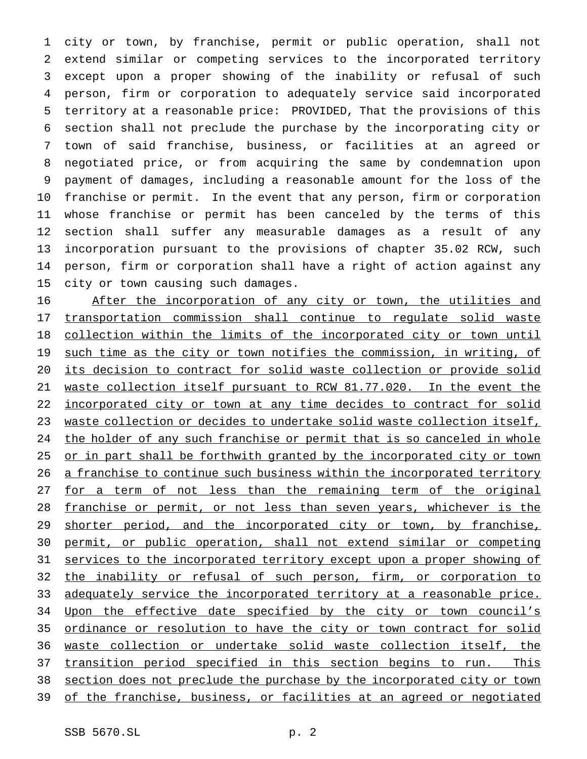city or town, by franchise, permit or public operation, shall not extend similar or competing services to the incorporated territory except upon a proper showing of the inability or refusal of such person, firm or corporation to adequately service said incorporated territory at a reasonable price: PROVIDED, That the provisions of this section shall not preclude the purchase by the incorporating city or town of said franchise, business, or facilities at an agreed or negotiated price, or from acquiring the same by condemnation upon payment of damages, including a reasonable amount for the loss of the franchise or permit. In the event that any person, firm or corporation whose franchise or permit has been canceled by the terms of this section shall suffer any measurable damages as a result of any incorporation pursuant to the provisions of chapter 35.02 RCW, such person, firm or corporation shall have a right of action against any city or town causing such damages.

 After the incorporation of any city or town, the utilities and transportation commission shall continue to regulate solid waste 18 collection within the limits of the incorporated city or town until 19 such time as the city or town notifies the commission, in writing, of its decision to contract for solid waste collection or provide solid waste collection itself pursuant to RCW 81.77.020. In the event the 22 incorporated city or town at any time decides to contract for solid waste collection or decides to undertake solid waste collection itself, 24 the holder of any such franchise or permit that is so canceled in whole 25 or in part shall be forthwith granted by the incorporated city or town 26 a franchise to continue such business within the incorporated territory 27 for a term of not less than the remaining term of the original franchise or permit, or not less than seven years, whichever is the 29 shorter period, and the incorporated city or town, by franchise, permit, or public operation, shall not extend similar or competing 31 services to the incorporated territory except upon a proper showing of 32 the inability or refusal of such person, firm, or corporation to 33 adequately service the incorporated territory at a reasonable price. 34 Upon the effective date specified by the city or town council's ordinance or resolution to have the city or town contract for solid waste collection or undertake solid waste collection itself, the transition period specified in this section begins to run. This section does not preclude the purchase by the incorporated city or town of the franchise, business, or facilities at an agreed or negotiated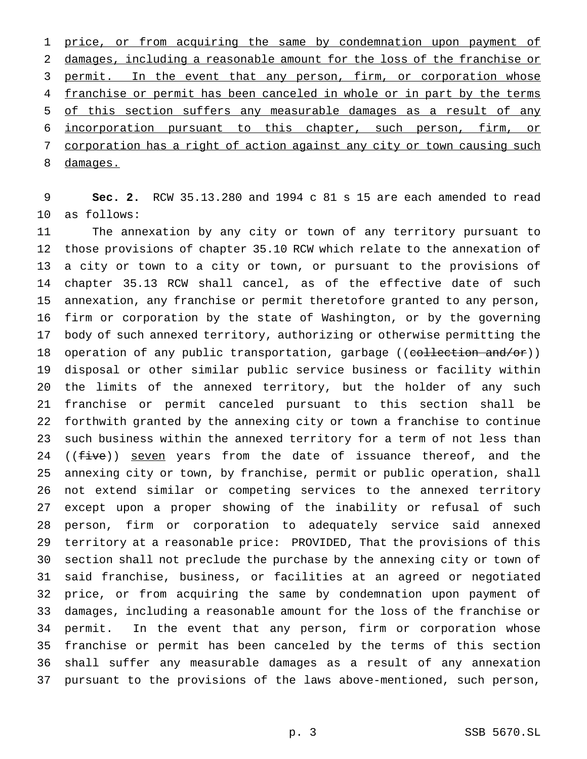price, or from acquiring the same by condemnation upon payment of damages, including a reasonable amount for the loss of the franchise or 3 permit. In the event that any person, firm, or corporation whose 4 franchise or permit has been canceled in whole or in part by the terms of this section suffers any measurable damages as a result of any incorporation pursuant to this chapter, such person, firm, or corporation has a right of action against any city or town causing such damages.

 **Sec. 2.** RCW 35.13.280 and 1994 c 81 s 15 are each amended to read as follows:

 The annexation by any city or town of any territory pursuant to those provisions of chapter 35.10 RCW which relate to the annexation of a city or town to a city or town, or pursuant to the provisions of chapter 35.13 RCW shall cancel, as of the effective date of such annexation, any franchise or permit theretofore granted to any person, firm or corporation by the state of Washington, or by the governing body of such annexed territory, authorizing or otherwise permitting the 18 operation of any public transportation, garbage ((collection and/or)) disposal or other similar public service business or facility within the limits of the annexed territory, but the holder of any such franchise or permit canceled pursuant to this section shall be forthwith granted by the annexing city or town a franchise to continue such business within the annexed territory for a term of not less than 24 (( $five$ )) seven years from the date of issuance thereof, and the annexing city or town, by franchise, permit or public operation, shall not extend similar or competing services to the annexed territory except upon a proper showing of the inability or refusal of such person, firm or corporation to adequately service said annexed territory at a reasonable price: PROVIDED, That the provisions of this section shall not preclude the purchase by the annexing city or town of said franchise, business, or facilities at an agreed or negotiated price, or from acquiring the same by condemnation upon payment of damages, including a reasonable amount for the loss of the franchise or permit. In the event that any person, firm or corporation whose franchise or permit has been canceled by the terms of this section shall suffer any measurable damages as a result of any annexation pursuant to the provisions of the laws above-mentioned, such person,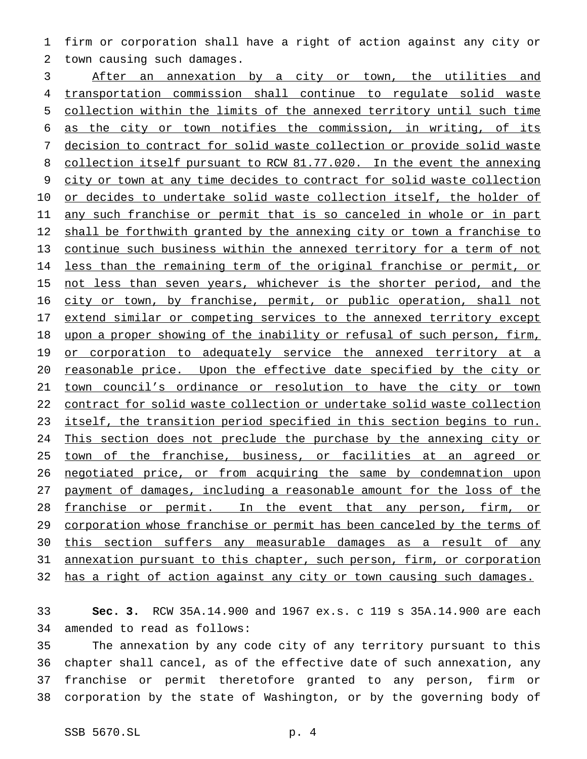firm or corporation shall have a right of action against any city or town causing such damages.

 After an annexation by a city or town, the utilities and transportation commission shall continue to regulate solid waste collection within the limits of the annexed territory until such time as the city or town notifies the commission, in writing, of its decision to contract for solid waste collection or provide solid waste collection itself pursuant to RCW 81.77.020. In the event the annexing city or town at any time decides to contract for solid waste collection or decides to undertake solid waste collection itself, the holder of 11 any such franchise or permit that is so canceled in whole or in part 12 shall be forthwith granted by the annexing city or town a franchise to continue such business within the annexed territory for a term of not 14 less than the remaining term of the original franchise or permit, or 15 not less than seven years, whichever is the shorter period, and the 16 city or town, by franchise, permit, or public operation, shall not extend similar or competing services to the annexed territory except 18 upon a proper showing of the inability or refusal of such person, firm, 19 or corporation to adequately service the annexed territory at a reasonable price. Upon the effective date specified by the city or town council's ordinance or resolution to have the city or town contract for solid waste collection or undertake solid waste collection itself, the transition period specified in this section begins to run. 24 This section does not preclude the purchase by the annexing city or 25 town of the franchise, business, or facilities at an agreed or negotiated price, or from acquiring the same by condemnation upon payment of damages, including a reasonable amount for the loss of the franchise or permit. In the event that any person, firm, or 29 corporation whose franchise or permit has been canceled by the terms of 30 this section suffers any measurable damages as a result of any annexation pursuant to this chapter, such person, firm, or corporation 32 has a right of action against any city or town causing such damages.

 **Sec. 3.** RCW 35A.14.900 and 1967 ex.s. c 119 s 35A.14.900 are each amended to read as follows:

 The annexation by any code city of any territory pursuant to this chapter shall cancel, as of the effective date of such annexation, any franchise or permit theretofore granted to any person, firm or corporation by the state of Washington, or by the governing body of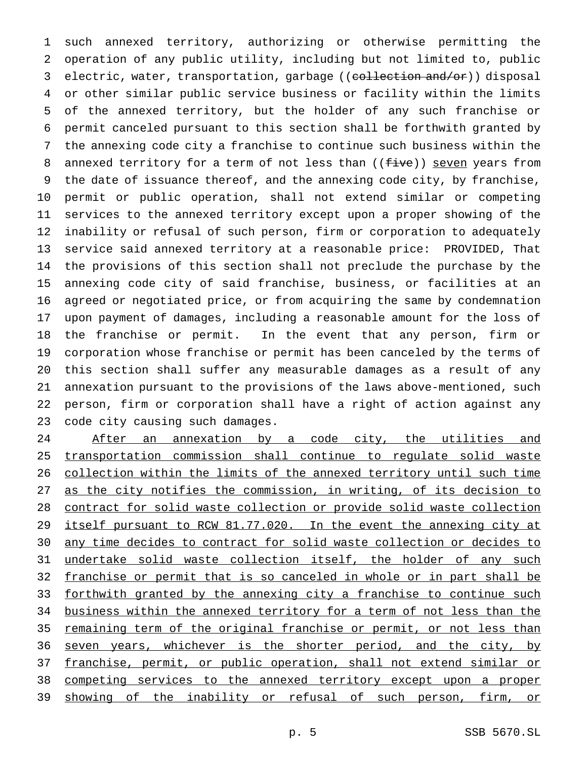such annexed territory, authorizing or otherwise permitting the operation of any public utility, including but not limited to, public 3 electric, water, transportation, garbage ((collection and/or)) disposal or other similar public service business or facility within the limits of the annexed territory, but the holder of any such franchise or permit canceled pursuant to this section shall be forthwith granted by the annexing code city a franchise to continue such business within the 8 annexed territory for a term of not less than ((five)) seven years from the date of issuance thereof, and the annexing code city, by franchise, permit or public operation, shall not extend similar or competing services to the annexed territory except upon a proper showing of the inability or refusal of such person, firm or corporation to adequately service said annexed territory at a reasonable price: PROVIDED, That the provisions of this section shall not preclude the purchase by the annexing code city of said franchise, business, or facilities at an agreed or negotiated price, or from acquiring the same by condemnation upon payment of damages, including a reasonable amount for the loss of the franchise or permit. In the event that any person, firm or corporation whose franchise or permit has been canceled by the terms of this section shall suffer any measurable damages as a result of any annexation pursuant to the provisions of the laws above-mentioned, such person, firm or corporation shall have a right of action against any code city causing such damages.

24 After an annexation by a code city, the utilities and transportation commission shall continue to regulate solid waste collection within the limits of the annexed territory until such time as the city notifies the commission, in writing, of its decision to contract for solid waste collection or provide solid waste collection itself pursuant to RCW 81.77.020. In the event the annexing city at any time decides to contract for solid waste collection or decides to 31 undertake solid waste collection itself, the holder of any such franchise or permit that is so canceled in whole or in part shall be 33 forthwith granted by the annexing city a franchise to continue such business within the annexed territory for a term of not less than the remaining term of the original franchise or permit, or not less than 36 seven years, whichever is the shorter period, and the city, by franchise, permit, or public operation, shall not extend similar or competing services to the annexed territory except upon a proper 39 showing of the inability or refusal of such person, firm, or